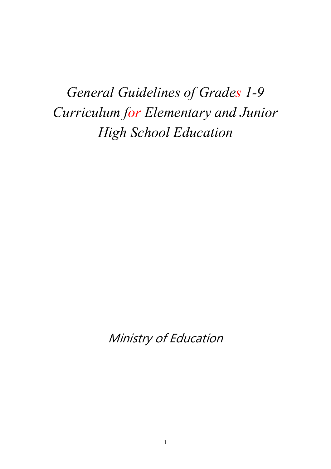General Guidelines of Grades 1-9 Curriculum for Elementary and Junior High School Education

Ministry of Education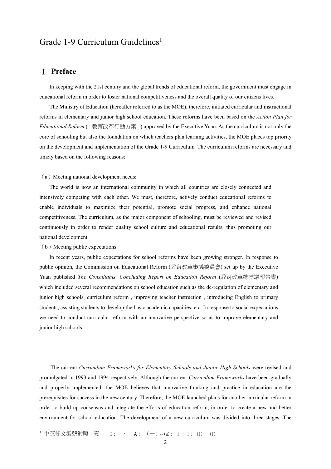# Grade 1-9 Curriculum Guidelines<sup>1</sup>

## Ⅰ Preface

In keeping with the 21st century and the global trends of educational reform, the government must engage in educational reform in order to foster national competitiveness and the overall quality of our citizens lives.

The Ministry of Education (hereafter referred to as the MOE), therefore, initiated curricular and instructional reforms in elementary and junior high school education. These reforms have been based on the Action Plan for Educational Reform (「教育改革行動方案」) approved by the Executive Yuan. As the curriculum is not only the core of schooling but also the foundation on which teachers plan learning activities, the MOE places top priority on the development and implementation of the Grade 1-9 Curriculum. The curriculum reforms are necessary and timely based on the following reasons:

(a) Meeting national development needs:

The world is now an international community in which all countries are closely connected and intensively competing with each other. We must, therefore, actively conduct educational reforms to enable individuals to maximize their potential, promote social progress, and enhance national competitiveness. The curriculum, as the major component of schooling, must be reviewed and revised continuously in order to render quality school culture and educational results, thus promoting our national development.

(b) Meeting public expectations:

-

In recent years, public expectations for school reforms have been growing stronger. In response to public opinion, the Commission on Educational Reform (教育改革審議委員會) set up by the Executive Yuan published The Consultants' Concluding Report on Education Reform (教育改革總諮議報告書) which included several recommendations on school education such as the de-regulation of elementary and junior high schools, curriculum reform , improving teacher instruction , introducing English to primary students, assisting students to develop the basic academic capacities, etc. In response to social expectations, we need to conduct curricular reform with an innovative perspective so as to improve elementary and junior high schools.

 The current Curriculum Frameworks for Elementary Schools and Junior High Schools were revised and promulgated in 1993 and 1994 respectively. Although the current Curriculum Frameworks have been gradually and properly implemented, the MOE believes that innovative thinking and practice in education are the prerequisites for success in the new century. Therefore, the MOE launched plans for another curricular reform in order to build up consensus and integrate the efforts of education reform, in order to create a new and better environment for school education. The development of a new curriculum was divided into three stages. The

----------------------------------------------------------------------------------------------------------------------------------------

 $\frac{1}{1}$  中英條文編號對照:壹 -- I; -- A; (-)--(a); 1 - 1; (1) - (1)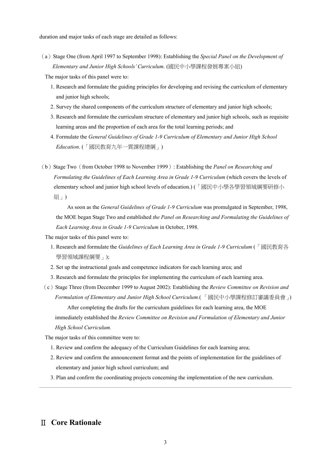duration and major tasks of each stage are detailed as follows:

(a) Stage One (from April 1997 to September 1998): Establishing the Special Panel on the Development of Elementary and Junior High Schools' Curriculum. (國民中小學課程發展專案小組)

The major tasks of this panel were to:

- 1. Research and formulate the guiding principles for developing and revising the curriculum of elementary and junior high schools;
- 2. Survey the shared components of the curriculum structure of elementary and junior high schools;
- 3. Research and formulate the curriculum structure of elementary and junior high schools, such as requisite learning areas and the proportion of each area for the total learning periods; and
- 4. Formulate the General Guidelines of Grade 1-9 Curriculum of Elementary and Junior High School Education. (「國民教育九年一貫課程總綱」)
- (b) Stage Two (from October 1998 to November 1999): Establishing the Panel on Researching and Formulating the Guidelines of Each Learning Area in Grade 1-9 Curriculum (which covers the levels of elementary school and junior high school levels of education.) (「國民中小學各學習領域綱要研修小 組」)

As soon as the General Guidelines of Grade 1-9 Curriculum was promulgated in September, 1998, the MOE began Stage Two and established the Panel on Researching and Formulating the Guidelines of Each Learning Area in Grade 1-9 Curriculum in October, 1998.

The major tasks of this panel were to:

- 1. Research and formulate the Guidelines of Each Learning Area in Grade 1-9 Curriculum (「國民教育各 學習領域課程綱要」);
- 2. Set up the instructional goals and competence indicators for each learning area; and
- 3. Research and formulate the principles for implementing the curriculum of each learning area.
- (c) Stage Three (from December 1999 to August 2002): Establishing the Review Committee on Revision and Formulation of Elementary and Junior High School Curriculum.( 「國民中小學課程修訂審議委員會」) After completing the drafts for the curriculum guidelines for each learning area, the MOE immediately established the Review Committee on Revision and Formulation of Elementary and Junior High School Curriculum.

The major tasks of this committee were to:

- 1. Review and confirm the adequacy of the Curriculum Guidelines for each learning area;
- 2. Review and confirm the announcement format and the points of implementation for the guidelines of elementary and junior high school curriculum; and
- 3. Plan and confirm the coordinating projects concerning the implementation of the new curriculum.

## Ⅱ Core Rationale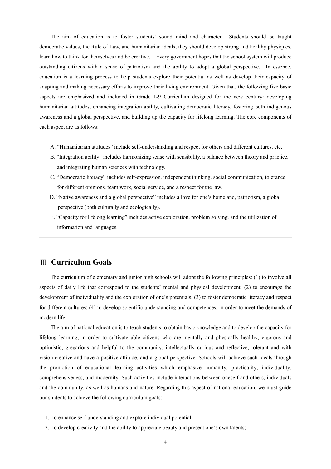The aim of education is to foster students' sound mind and character. Students should be taught democratic values, the Rule of Law, and humanitarian ideals; they should develop strong and healthy physiques, learn how to think for themselves and be creative. Every government hopes that the school system will produce outstanding citizens with a sense of patriotism and the ability to adopt a global perspective. In essence, education is a learning process to help students explore their potential as well as develop their capacity of adapting and making necessary efforts to improve their living environment. Given that, the following five basic aspects are emphasized and included in Grade 1-9 Curriculum designed for the new century: developing humanitarian attitudes, enhancing integration ability, cultivating democratic literacy, fostering both indigenous awareness and a global perspective, and building up the capacity for lifelong learning. The core components of each aspect are as follows:

- A. "Humanitarian attitudes" include self-understanding and respect for others and different cultures, etc.
- B. "Integration ability" includes harmonizing sense with sensibility, a balance between theory and practice, and integrating human sciences with technology.
- C. "Democratic literacy" includes self-expression, independent thinking, social communication, tolerance for different opinions, team work, social service, and a respect for the law.
- D. "Native awareness and a global perspective" includes a love for one's homeland, patriotism, a global perspective (both culturally and ecologically).
- E. "Capacity for lifelong learning" includes active exploration, problem solving, and the utilization of information and languages.

## Ⅲ Curriculum Goals

 The curriculum of elementary and junior high schools will adopt the following principles: (1) to involve all aspects of daily life that correspond to the students' mental and physical development; (2) to encourage the development of individuality and the exploration of one's potentials; (3) to foster democratic literacy and respect for different cultures; (4) to develop scientific understanding and competences, in order to meet the demands of modern life.

 The aim of national education is to teach students to obtain basic knowledge and to develop the capacity for lifelong learning, in order to cultivate able citizens who are mentally and physically healthy, vigorous and optimistic, gregarious and helpful to the community, intellectually curious and reflective, tolerant and with vision creative and have a positive attitude, and a global perspective. Schools will achieve such ideals through the promotion of educational learning activities which emphasize humanity, practicality, individuality, comprehensiveness, and modernity. Such activities include interactions between oneself and others, individuals and the community, as well as humans and nature. Regarding this aspect of national education, we must guide our students to achieve the following curriculum goals:

- 1. To enhance self-understanding and explore individual potential;
- 2. To develop creativity and the ability to appreciate beauty and present one's own talents;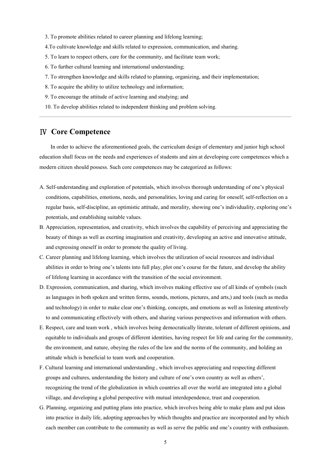- 3. To promote abilities related to career planning and lifelong learning;
- 4.To cultivate knowledge and skills related to expression, communication, and sharing.
- 5. To learn to respect others, care for the community, and facilitate team work;
- 6. To further cultural learning and international understanding;
- 7. To strengthen knowledge and skills related to planning, organizing, and their implementation;
- 8. To acquire the ability to utilize technology and information;
- 9. To encourage the attitude of active learning and studying; and
- 10. To develop abilities related to independent thinking and problem solving.

## Ⅳ Core Competence

 In order to achieve the aforementioned goals, the curriculum design of elementary and junior high school education shall focus on the needs and experiences of students and aim at developing core competences which a modern citizen should possess. Such core competences may be categorized as follows:

- A. Self-understanding and exploration of potentials, which involves thorough understanding of one's physical conditions, capabilities, emotions, needs, and personalities, loving and caring for oneself, self-reflection on a regular basis, self-discipline, an optimistic attitude, and morality, showing one's individuality, exploring one's potentials, and establishing suitable values.
- B. Appreciation, representation, and creativity, which involves the capability of perceiving and appreciating the beauty of things as well as exerting imagination and creativity, developing an active and innovative attitude, and expressing oneself in order to promote the quality of living.
- C. Career planning and lifelong learning, which involves the utilization of social resources and individual abilities in order to bring one's talents into full play, plot one's course for the future, and develop the ability of lifelong learning in accordance with the transition of the social environment.
- D. Expression, communication, and sharing, which involves making effective use of all kinds of symbols (such as languages in both spoken and written forms, sounds, motions, pictures, and arts,) and tools (such as media and technology) in order to make clear one's thinking, concepts, and emotions as well as listening attentively to and communicating effectively with others, and sharing various perspectives and information with others.
- E. Respect, care and team work , which involves being democratically literate, tolerant of different opinions, and equitable to individuals and groups of different identities, having respect for life and caring for the community, the environment, and nature, obeying the rules of the law and the norms of the community, and holding an attitude which is beneficial to team work and cooperation.
- F. Cultural learning and international understanding , which involves appreciating and respecting different groups and cultures, understanding the history and culture of one's own country as well as others', recognizing the trend of the globalization in which countries all over the world are integrated into a global village, and developing a global perspective with mutual interdependence, trust and cooperation.
- G. Planning, organizing and putting plans into practice, which involves being able to make plans and put ideas into practice in daily life, adopting approaches by which thoughts and practice are incorporated and by which each member can contribute to the community as well as serve the public and one's country with enthusiasm.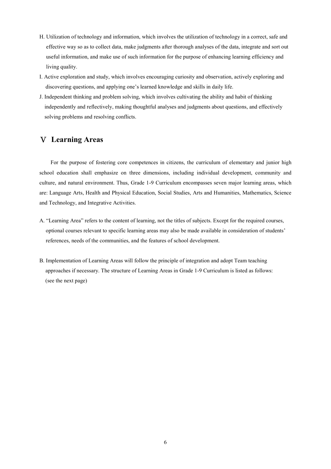- H. Utilization of technology and information, which involves the utilization of technology in a correct, safe and effective way so as to collect data, make judgments after thorough analyses of the data, integrate and sort out useful information, and make use of such information for the purpose of enhancing learning efficiency and living quality.
- I. Active exploration and study, which involves encouraging curiosity and observation, actively exploring and discovering questions, and applying one's learned knowledge and skills in daily life.
- J. Independent thinking and problem solving, which involves cultivating the ability and habit of thinking independently and reflectively, making thoughtful analyses and judgments about questions, and effectively solving problems and resolving conflicts.

# Ⅴ Learning Areas

 For the purpose of fostering core competences in citizens, the curriculum of elementary and junior high school education shall emphasize on three dimensions, including individual development, community and culture, and natural environment. Thus, Grade 1-9 Curriculum encompasses seven major learning areas, which are: Language Arts, Health and Physical Education, Social Studies, Arts and Humanities, Mathematics, Science and Technology, and Integrative Activities.

- A. "Learning Area" refers to the content of learning, not the titles of subjects. Except for the required courses, optional courses relevant to specific learning areas may also be made available in consideration of students' references, needs of the communities, and the features of school development.
- B. Implementation of Learning Areas will follow the principle of integration and adopt Team teaching approaches if necessary. The structure of Learning Areas in Grade 1-9 Curriculum is listed as follows: (see the next page)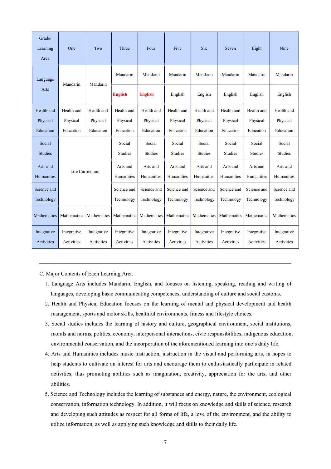| Grade/<br>Learning<br>Area | One             | Two         | Three          | Four           | Five        | SiX            | Seven          | Eight       | Nine        |
|----------------------------|-----------------|-------------|----------------|----------------|-------------|----------------|----------------|-------------|-------------|
| Language<br>Arts           | Mandarin        | Mandarin    | Mandarin       | Mandarin       | Mandarin    | Mandarin       | Mandarin       | Mandarin    | Mandarin    |
|                            |                 |             | <b>English</b> | <b>English</b> | English     | English        | English        | English     | English     |
| Health and                 | Health and      | Health and  | Health and     | Health and     | Health and  | Health and     | Health and     | Health and  | Health and  |
| Physical                   | Physical        | Physical    | Physical       | Physical       | Physical    | Physical       | Physical       | Physical    | Physical    |
| Education                  | Education       | Education   | Education      | Education      | Education   | Education      | Education      | Education   | Education   |
| Social                     | Life Curriculum |             | Social         | Social         | Social      | Social         | Social         | Social      | Social      |
| <b>Studies</b>             |                 |             | Studies        | Studies        | Studies     | <b>Studies</b> | <b>Studies</b> | Studies     | Studies     |
| Arts and                   |                 |             | Arts and       | Arts and       | Arts and    | Arts and       | Arts and       | Arts and    | Arts and    |
| Humanities                 |                 |             | Humanities     | Humanities     | Humanities  | Humanities     | Humanities     | Humanities  | Humanities  |
| Science and                |                 |             | Science and    | Science and    | Science and | Science and    | Science and    | Science and | Science and |
| Technology                 |                 |             | Technology     | Technology     | Technology  | Technology     | Technology     | Technology  | Technology  |
| Mathematics                | Mathematics     | Mathematics | Mathematics    | Mathematics    | Mathematics | Mathematics    | Mathematics    | Mathematics | Mathematics |
| Integrative                | Integrative     | Integrative | Integrative    | Integrative    | Integrative | Integrative    | Integrative    | Integrative | Integrative |
| Activities                 | Activities      | Activities  | Activities     | Activities     | Activities  | Activities     | Activities     | Activities  | Activities  |

C. Major Contents of Each Learning Area

- 1. Language Arts includes Mandarin, English, and focuses on listening, speaking, reading and writing of languages, developing basic communicating competences, understanding of culture and social customs.
- 2. Health and Physical Education focuses on the learning of mental and physical development and health management, sports and motor skills, healthful environments, fitness and lifestyle choices.
- 3. Social studies includes the learning of history and culture, geographical environment, social institutions, morals and norms, politics, economy, interpersonal interactions, civic responsibilities, indigenous education, environmental conservation, and the incorporation of the aforementioned learning into one's daily life.
- 4. Arts and Humanities includes music instruction, instruction in the visual and performing arts, in hopes to help students to cultivate an interest for arts and encourage them to enthusiastically participate in related activities, thus promoting abilities such as imagination, creativity, appreciation for the arts, and other abilities.
- 5. Science and Technology includes the learning of substances and energy, nature, the environment, ecological conservation, information technology. In addition, it will focus on knowledge and skills of science, research and developing such attitudes as respect for all forms of life, a love of the environment, and the ability to utilize information, as well as applying such knowledge and skills to their daily life.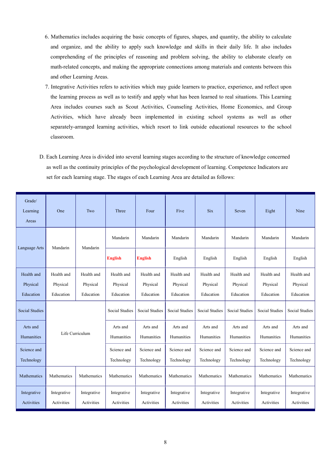- 6. Mathematics includes acquiring the basic concepts of figures, shapes, and quantity, the ability to calculate and organize, and the ability to apply such knowledge and skills in their daily life. It also includes comprehending of the principles of reasoning and problem solving, the ability to elaborate clearly on math-related concepts, and making the appropriate connections among materials and contents between this and other Learning Areas.
- 7. Integrative Activities refers to activities which may guide learners to practice, experience, and reflect upon the learning process as well as to testify and apply what has been learned to real situations. This Learning Area includes courses such as Scout Activities, Counseling Activities, Home Economics, and Group Activities, which have already been implemented in existing school systems as well as other separately-arranged learning activities, which resort to link outside educational resources to the school classroom.
- D. Each Learning Area is divided into several learning stages according to the structure of knowledge concerned as well as the continuity principles of the psychological development of learning. Competence Indicators are set for each learning stage. The stages of each Learning Area are detailed as follows:

| Grade/<br>Learning<br>Areas | One             | Two         | Three                 | Four                  | Five           | <b>Six</b>            | Seven          | Eight          | Nine                  |
|-----------------------------|-----------------|-------------|-----------------------|-----------------------|----------------|-----------------------|----------------|----------------|-----------------------|
| Language Arts               | Mandarin        | Mandarin    | Mandarin              | Mandarin              | Mandarin       | Mandarin              | Mandarin       | Mandarin       | Mandarin              |
|                             |                 |             | <b>English</b>        | <b>English</b>        | English        | English               | English        | English        | English               |
| Health and                  | Health and      | Health and  | Health and            | Health and            | Health and     | Health and            | Health and     | Health and     | Health and            |
| Physical                    | Physical        | Physical    | Physical              | Physical              | Physical       | Physical              | Physical       | Physical       | Physical              |
| Education                   | Education       | Education   | Education             | Education             | Education      | Education             | Education      | Education      | Education             |
| <b>Social Studies</b>       | Life Curriculum |             | <b>Social Studies</b> | <b>Social Studies</b> | Social Studies | <b>Social Studies</b> | Social Studies | Social Studies | <b>Social Studies</b> |
| Arts and                    |                 |             | Arts and              | Arts and              | Arts and       | Arts and              | Arts and       | Arts and       | Arts and              |
| Humanities                  |                 |             | Humanities            | Humanities            | Humanities     | Humanities            | Humanities     | Humanities     | Humanities            |
| Science and                 |                 |             | Science and           | Science and           | Science and    | Science and           | Science and    | Science and    | Science and           |
| Technology                  |                 |             | Technology            | Technology            | Technology     | Technology            | Technology     | Technology     | Technology            |
| Mathematics                 | Mathematics     | Mathematics | Mathematics           | Mathematics           | Mathematics    | Mathematics           | Mathematics    | Mathematics    | Mathematics           |
| Integrative                 | Integrative     | Integrative | Integrative           | Integrative           | Integrative    | Integrative           | Integrative    | Integrative    | Integrative           |
| Activities                  | Activities      | Activities  | Activities            | Activities            | Activities     | Activities            | Activities     | Activities     | Activities            |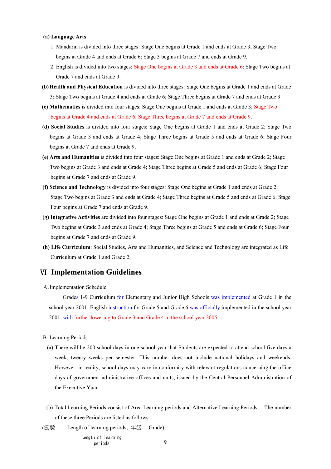#### (a) Language Arts

- 1. Mandarin is divided into three stages: Stage One begins at Grade 1 and ends at Grade 3; Stage Two begins at Grade 4 and ends at Grade 6; Stage 3 begins at Grade 7 and ends at Grade 9.
- 2. English is divided into two stages: Stage One begins at Grade 3 and ends at Grade 6; Stage Two begins at Grade 7 and ends at Grade 9.
- (b)Health and Physical Education is divided into three stages: Stage One begins at Grade 1 and ends at Grade 3; Stage Two begins at Grade 4 and ends at Grade 6; Stage Three begins at Grade 7 and ends at Grade 9.
- (c) Mathematics is divided into four stages: Stage One begins at Grade 1 and ends at Grade 3; Stage Two begins at Grade 4 and ends at Grade 6; Stage Three begins at Grade 7 and ends at Grade 9.
- (d) Social Studies is divided into four stages: Stage One begins at Grade 1 and ends at Grade 2; Stage Two begins at Grade 3 and ends at Grade 4; Stage Three begins at Grade 5 and ends at Grade 6; Stage Four begins at Grade 7 and ends at Grade 9.
- (e) Arts and Humanities is divided into four stages: Stage One begins at Grade 1 and ends at Grade 2; Stage Two begins at Grade 3 and ends at Grade 4; Stage Three begins at Grade 5 and ends at Grade 6; Stage Four begins at Grade 7 and ends at Grade 9.
- (f) Science and Technology is divided into four stages: Stage One begins at Grade 1 and ends at Grade 2; Stage Two begins at Grade 3 and ends at Grade 4; Stage Three begins at Grade 5 and ends at Grade 6; Stage Four begins at Grade 7 and ends at Grade 9.
- (g) Integrative Activities are divided into four stages: Stage One begins at Grade 1 and ends at Grade 2; Stage Two begins at Grade 3 and ends at Grade 4; Stage Three begins at Grade 5 and ends at Grade 6; Stage Four begins at Grade 7 and ends at Grade 9.
- (h) Life Curriculum: Social Studies, Arts and Humanities, and Science and Technology are integrated as Life Curriculum at Grade 1 and Grade 2,

## Ⅵ Implementation Guidelines

A.Implementation Schedule

 Grades 1-9 Curriculum for Elementary and Junior High Schools was implemented at Grade 1 in the school year 2001. English instruction for Grade 5 and Grade 6 was officially implemented in the school year 2001, with further lowering to Grade 3 and Grade 4 in the school year 2005.

#### B. Learning Periods

- (a) There will be 200 school days in one school year that Students are expected to attend school five days a week, twenty weeks per semester. This number does not include national holidays and weekends. However, in reality, school days may vary in conformity with relevant regulations concerning the office days of government administrative offices and units, issued by the Central Personnel Administration of the Executive Yuan.
- (b) Total Learning Periods consist of Area Learning periods and Alternative Learning Periods. The number of these three Periods are listed as follows:

(節數 -- Length of learning periods; 年級 – Grade)

```
Length of learning 
periods
```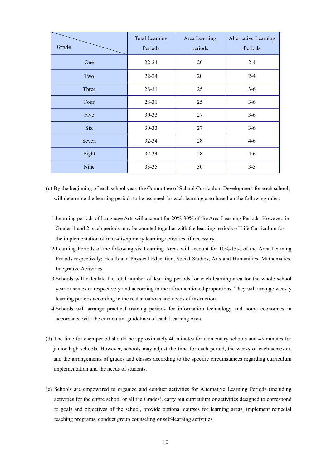|            | <b>Total Learning</b> | Area Learning | Alternative Learning |
|------------|-----------------------|---------------|----------------------|
| Grade      | Periods               | periods       | Periods              |
| One        | $22 - 24$             | 20            | $2 - 4$              |
| Two        | $22 - 24$             | 20            | $2 - 4$              |
| Three      | 28-31                 | 25            | $3-6$                |
| Four       | 28-31                 | 25            | $3-6$                |
| Five       | 30-33                 | 27            | $3-6$                |
| <b>Six</b> | 30-33                 | 27            | $3-6$                |
| Seven      | 32-34                 | 28            | $4 - 6$              |
| Eight      | 32-34                 | 28            | $4-6$                |
| Nine       | $33 - 35$             | 30            | $3 - 5$              |

- (c) By the beginning of each school year, the Committee of School Curriculum Development for each school, will determine the learning periods to be assigned for each learning area based on the following rules:
	- 1.Learning periods of Language Arts will account for 20%-30% of the Area Learning Periods. However, in Grades 1 and 2, such periods may be counted together with the learning periods of Life Curriculum for the implementation of inter-disciplinary learning activities, if necessary.
	- 2.Learning Periods of the following six Learning Areas will account for 10%-15% of the Area Learning Periods respectively: Health and Physical Education, Social Studies, Arts and Humanities, Mathematics, Integrative Activities.
	- 3.Schools will calculate the total number of learning periods for each learning area for the whole school year or semester respectively and according to the aforementioned proportions. They will arrange weekly learning periods according to the real situations and needs of instruction.
	- 4.Schools will arrange practical training periods for information technology and home economics in accordance with the curriculum guidelines of each Learning Area.
- (d) The time for each period should be approximately 40 minutes for elementary schools and 45 minutes for junior high schools. However, schools may adjust the time for each period, the weeks of each semester, and the arrangements of grades and classes according to the specific circumstances regarding curriculum implementation and the needs of students.
- (e) Schools are empowered to organize and conduct activities for Alternative Learning Periods (including activities for the entire school or all the Grades), carry out curriculum or activities designed to correspond to goals and objectives of the school, provide optional courses for learning areas, implement remedial teaching programs, conduct group counseling or self-learning activities.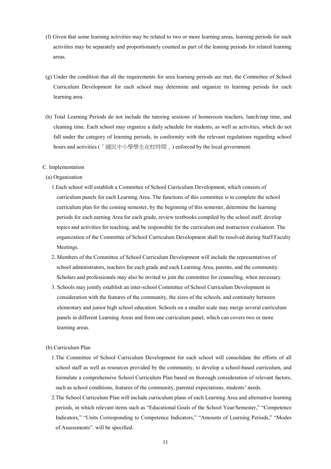- (f) Given that some learning activities may be related to two or more learning areas, learning periods for such activities may be separately and proportionately counted as part of the leaning periods for related learning areas.
- (g) Under the condition that all the requirements for area learning periods are met, the Committee of School Curriculum Development for each school may determine and organize its learning periods for each learning area.
- (h) Total Learning Periods do not include the tutoring sessions of homeroom teachers, lunch/nap time, and cleaning time. Each school may organize a daily schedule for students, as well as activities, which do not fall under the category of learning periods, in conformity with the relevant regulations regarding school hours and activities (「國民中小學學生在校時間」) enforced by the local government.

#### C. Implementation

### (a) Organization

- 1.Each school will establish a Committee of School Curriculum Development, which consists of curriculum panels for each Learning Area. The functions of this committee is to complete the school curriculum plan for the coming semester, by the beginning of this semester, determine the learning periods for each earning Area for each grade, review textbooks compiled by the school staff, develop topics and activities for teaching, and be responsible for the curriculum and instruction evaluation. The organization of the Committee of School Curriculum Development shall be resolved during Staff Faculty Meetings.
- 2. Members of the Committee of School Curriculum Development will include the representatives of school administrators, teachers for each grade and each Learning Area, parents, and the community. Scholars and professionals may also be invited to join the committee for counseling, when necessary.
- 3. Schools may jointly establish an inter-school Committee of School Curriculum Development in consideration with the features of the community, the sizes of the schools, and continuity between elementary and junior high school education. Schools on a smaller scale may merge several curriculum panels in different Learning Areas and form one curriculum panel, which can covers two or more learning areas.

### (b) Curriculum Plan

- 1.The Committee of School Curriculum Development for each school will consolidate the efforts of all school staff as well as resources provided by the community, to develop a school-based curriculum, and formulate a comprehensive School Curriculum Plan based on thorough consideration of relevant factors, such as school conditions, features of the community, parental expectations, students' needs.
- 2.The School Curriculum Plan will include curriculum plans of each Learning Area and alternative learning periods, in which relevant items such as "Educational Goals of the School Year/Semester," "Competence Indicators," "Units Corresponding to Competence Indicators," "Amounts of Learning Periods," "Modes of Assessments". will be specified.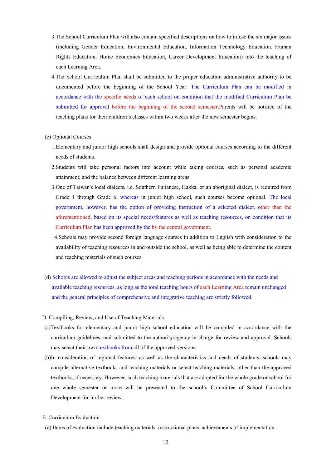- 3.The School Curriculum Plan will also contain specified descriptions on how to infuse the six major issues (including Gender Education, Environmental Education, Information Technology Education, Human Rights Education, Home Economics Education, Career Development Education) into the teaching of each Learning Area.
- 4.The School Curriculum Plan shall be submitted to the proper education administrative authority to be documented before the beginning of the School Year. The Curriculum Plan can be modified in accordance with the specific needs of each school on condition that the modified Curriculum Plan be submitted for approval before the beginning of the second semester.Parents will be notified of the teaching plans for their children's classes within two weeks after the new semester begins.

#### (c) Optional Courses

- 1.Elementary and junior high schools shall design and provide optional courses according to the different needs of students.
- 2.Students will take personal factors into account while taking courses, such as personal academic attainment, and the balance between different learning areas.
- 3.One of Taiwan's local dialects, i.e. Southern Fujianese, Hakka, or an aboriginal dialect, is required from Grade 1 through Grade 6, whereas in junior high school, such courses become optional. The local government, however, has the option of providing instruction of a selected dialect, other than the aforementioned, based on its special needs/features as well as teaching resources, on condition that its Curriculum Plan has been approved by the by the central government.

 4.Schools may provide second foreign language courses in addition to English with consideration to the availability of teaching resources in and outside the school, as well as being able to determine the content and teaching materials of such courses.

(d) Schools are allowed to adjust the subject areas and teaching periods in accordance with the needs and available teaching resources, as long as the total teaching hours of each Learning Area remain unchanged and the general principles of comprehensive and integrative teaching are strictly followed.

#### D. Compiling, Review, and Use of Teaching Materials

- (a)Textbooks for elementary and junior high school education will be compiled in accordance with the curriculum guidelines, and submitted to the authority/agency in charge for review and approval. Schools may select their own textbooks from all of the approved versions.
- (b)In consideration of regional features, as well as the characteristics and needs of students, schools may compile alternative textbooks and teaching materials or select teaching materials, other than the approved textbooks, if necessary. However, such teaching materials that are adopted for the whole grade or school for one whole semester or more will be presented to the school's Committee of School Curriculum Development for further review.

### E. Curriculum Evaluation

(a) Items of evaluation include teaching materials, instructional plans, achievements of implementation.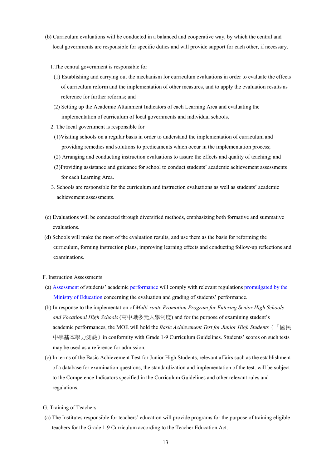- (b) Curriculum evaluations will be conducted in a balanced and cooperative way, by which the central and local governments are responsible for specific duties and will provide support for each other, if necessary.
	- 1.The central government is responsible for
	- (1) Establishing and carrying out the mechanism for curriculum evaluations in order to evaluate the effects of curriculum reform and the implementation of other measures, and to apply the evaluation results as reference for further reforms; and
	- (2) Setting up the Academic Attainment Indicators of each Learning Area and evaluating the implementation of curriculum of local governments and individual schools.
	- 2. The local government is responsible for
		- (1)Visiting schools on a regular basis in order to understand the implementation of curriculum and providing remedies and solutions to predicaments which occur in the implementation process;
		- (2) Arranging and conducting instruction evaluations to assure the effects and quality of teaching; and
		- (3)Providing assistance and guidance for school to conduct students' academic achievement assessments for each Learning Area.
	- 3. Schools are responsible for the curriculum and instruction evaluations as well as students' academic achievement assessments.
- (c) Evaluations will be conducted through diversified methods, emphasizing both formative and summative evaluations.
- (d) Schools will make the most of the evaluation results, and use them as the basis for reforming the curriculum, forming instruction plans, improving learning effects and conducting follow-up reflections and examinations.

### F. Instruction Assessments

- (a) Assessment of students' academic performance will comply with relevant regulations promulgated by the Ministry of Education concerning the evaluation and grading of students' performance.
- (b) In response to the implementation of Multi-route Promotion Program for Entering Senior High Schools and Vocational High Schools (高中職多元入學制度) and for the purpose of examining student's academic performances, the MOE will hold the *Basic Achievement Test for Junior High Students* (「國民 中學基本學力測驗)in conformity with Grade 1-9 Curriculum Guidelines. Students' scores on such tests may be used as a reference for admission.
- (c) In terms of the Basic Achievement Test for Junior High Students, relevant affairs such as the establishment of a database for examination questions, the standardization and implementation of the test. will be subject to the Competence Indicators specified in the Curriculum Guidelines and other relevant rules and regulations.
- G. Training of Teachers
- (a) The Institutes responsible for teachers' education will provide programs for the purpose of training eligible teachers for the Grade 1-9 Curriculum according to the Teacher Education Act.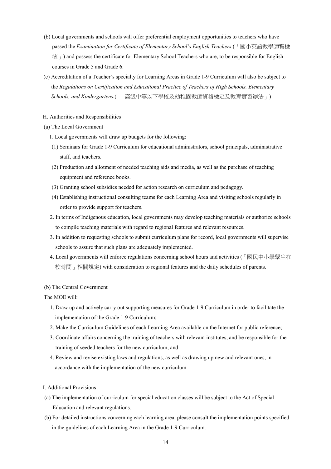- (b) Local governments and schools will offer preferential employment opportunities to teachers who have passed the *Examination for Certificate of Elementary School's English Teachers* (「國小英語教學師資檢 核」) and possess the certificate for Elementary School Teachers who are, to be responsible for English courses in Grade 5 and Grade 6.
- (c) Accreditation of a Teacher's specialty for Learning Areas in Grade 1-9 Curriculum will also be subject to the Regulations on Certification and Educational Practice of Teachers of High Schools, Elementary Schools, and Kindergartens.( 「高級中等以下學校及幼稚園教師資格檢定及教育實習辦法」)
- H. Authorities and Responsibilities

(a) The Local Government

- 1. Local governments will draw up budgets for the following:
- (1) Seminars for Grade 1-9 Curriculum for educational administrators, school principals, administrative staff, and teachers.
- (2) Production and allotment of needed teaching aids and media, as well as the purchase of teaching equipment and reference books.
- (3) Granting school subsidies needed for action research on curriculum and pedagogy.
- (4) Establishing instructional consulting teams for each Learning Area and visiting schools regularly in order to provide support for teachers.
- 2. In terms of Indigenous education, local governments may develop teaching materials or authorize schools to compile teaching materials with regard to regional features and relevant resources.
- 3. In addition to requesting schools to submit curriculum plans for record, local governments will supervise schools to assure that such plans are adequately implemented.
- 4. Local governments will enforce regulations concerning school hours and activities (「國民中小學學生在 校時間<sub>」</sub>相關規定) with consideration to regional features and the daily schedules of parents.

### (b) The Central Government

The MOE will:

- 1. Draw up and actively carry out supporting measures for Grade 1-9 Curriculum in order to facilitate the implementation of the Grade 1-9 Curriculum;
- 2. Make the Curriculum Guidelines of each Learning Area available on the Internet for public reference;
- 3. Coordinate affairs concerning the training of teachers with relevant institutes, and be responsible for the training of seeded teachers for the new curriculum; and
- 4. Review and revise existing laws and regulations, as well as drawing up new and relevant ones, in accordance with the implementation of the new curriculum.
- I. Additional Provisions
- (a) The implementation of curriculum for special education classes will be subject to the Act of Special Education and relevant regulations.
- (b) For detailed instructions concerning each learning area, please consult the implementation points specified in the guidelines of each Learning Area in the Grade 1-9 Curriculum.